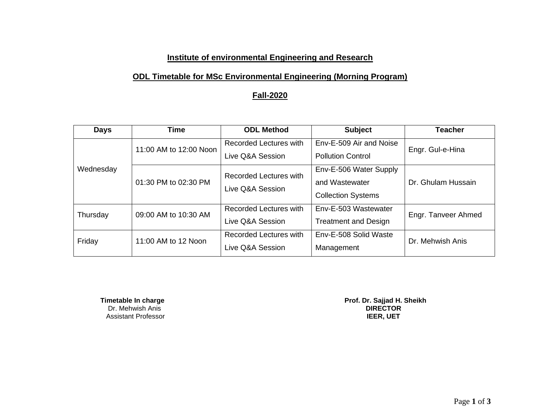#### **Institute of environmental Engineering and Research**

### **ODL Timetable for MSc Environmental Engineering (Morning Program)**

#### **Fall-2020**

| <b>Days</b> | <b>Time</b>            | <b>ODL Method</b>                                 | <b>Subject</b>                                                        | <b>Teacher</b>      |
|-------------|------------------------|---------------------------------------------------|-----------------------------------------------------------------------|---------------------|
| Wednesday   | 11:00 AM to 12:00 Noon | Recorded Lectures with<br>Live Q&A Session        | Env-E-509 Air and Noise<br><b>Pollution Control</b>                   | Engr. Gul-e-Hina    |
|             | 01:30 PM to 02:30 PM   | <b>Recorded Lectures with</b><br>Live Q&A Session | Env-E-506 Water Supply<br>and Wastewater<br><b>Collection Systems</b> | Dr. Ghulam Hussain  |
| Thursday    | 09:00 AM to 10:30 AM   | Recorded Lectures with<br>Live Q&A Session        | Env-E-503 Wastewater<br><b>Treatment and Design</b>                   | Engr. Tanveer Ahmed |
| Friday      | 11:00 AM to 12 Noon    | Recorded Lectures with<br>Live Q&A Session        | Env-E-508 Solid Waste<br>Management                                   | Dr. Mehwish Anis    |

 Dr. Mehwish Anis **DIRECTOR Assistant Professor** 

 **Timetable In charge Constraining the Constraining of the Prof. Dr. Sajjad H. Sheikh<br>Dr. Mehwish Anis <b>DIRECTOR**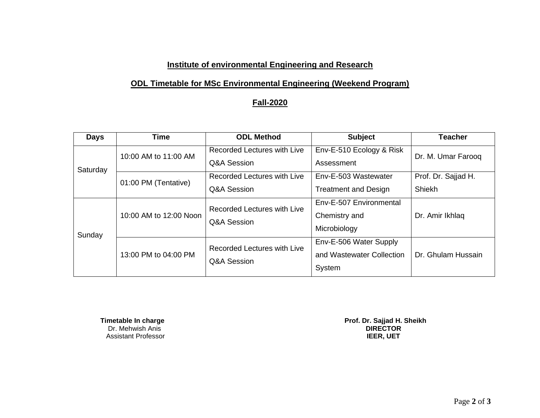### **Institute of environmental Engineering and Research**

# **ODL Timetable for MSc Environmental Engineering (Weekend Program)**

# **Fall-2020**

| <b>Days</b> | <b>Time</b>            | <b>ODL Method</b>                          | <b>Subject</b>                                                | <b>Teacher</b>                |
|-------------|------------------------|--------------------------------------------|---------------------------------------------------------------|-------------------------------|
| Saturday    | 10:00 AM to 11:00 AM   | Recorded Lectures with Live<br>Q&A Session | Env-E-510 Ecology & Risk<br>Assessment                        | Dr. M. Umar Farooq            |
|             | 01:00 PM (Tentative)   | Recorded Lectures with Live<br>Q&A Session | Env-E-503 Wastewater<br><b>Treatment and Design</b>           | Prof. Dr. Sajjad H.<br>Shiekh |
| Sunday      | 10:00 AM to 12:00 Noon | Recorded Lectures with Live<br>Q&A Session | Env-E-507 Environmental<br>Chemistry and<br>Microbiology      | Dr. Amir Ikhlaq               |
|             | 13:00 PM to 04:00 PM   | Recorded Lectures with Live<br>Q&A Session | Env-E-506 Water Supply<br>and Wastewater Collection<br>System | Dr. Ghulam Hussain            |

**Timetable In charge Prof. Dr. Sajjad H.**<br>Dr. Mehwish Anis **DIRECTOR**<br>Assistant Professor **DIRECTOR**<br>Assistant Professor **Assistant Professor** 

 **Prof. Dr. Sajjad H. Sheikh<br>DIRECTOR**